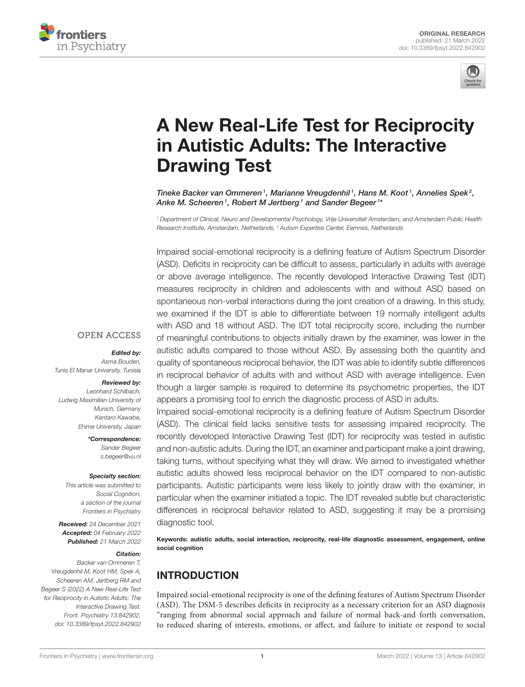



# [A New Real-Life Test for Reciprocity](https://www.frontiersin.org/articles/10.3389/fpsyt.2022.842902/full) in Autistic Adults: The Interactive Drawing Test

Tineke Backer van Ommeren<sup>1</sup>, Marianne Vreugdenhil<sup>1</sup>, Hans M. Koot<sup>1</sup>, Annelies Spek<sup>2</sup>, Anke M. Scheeren1, Robert M Jertberg1 and Sander Begeer1\*

*<sup>1</sup> Department of Clinical, Neuro and Developmental Psychology, Vrije Universiteit Amsterdam, and Amsterdam Public Health Research Institute, Amsterdam, Netherlands, <sup>2</sup> Autism Expertise Center, Eemnes, Netherlands*

Impaired social-emotional reciprocity is a defining feature of Autism Spectrum Disorder (ASD). Deficits in reciprocity can be difficult to assess, particularly in adults with average or above average intelligence. The recently developed Interactive Drawing Test (IDT) measures reciprocity in children and adolescents with and without ASD based on spontaneous non-verbal interactions during the joint creation of a drawing. In this study, we examined if the IDT is able to differentiate between 19 normally intelligent adults with ASD and 18 without ASD. The IDT total reciprocity score, including the number of meaningful contributions to objects initially drawn by the examiner, was lower in the autistic adults compared to those without ASD. By assessing both the quantity and quality of spontaneous reciprocal behavior, the IDT was able to identify subtle differences in reciprocal behavior of adults with and without ASD with average intelligence. Even though a larger sample is required to determine its psychometric properties, the IDT appears a promising tool to enrich the diagnostic process of ASD in adults.

Impaired social-emotional reciprocity is a defining feature of Autism Spectrum Disorder (ASD). The clinical field lacks sensitive tests for assessing impaired reciprocity. The recently developed Interactive Drawing Test (IDT) for reciprocity was tested in autistic and non-autistic adults. During the IDT, an examiner and participant make a joint drawing, taking turns, without specifying what they will draw. We aimed to investigated whether autistic adults showed less reciprocal behavior on the IDT compared to non-autistic participants. Autistic participants were less likely to jointly draw with the examiner, in particular when the examiner initiated a topic. The IDT revealed subtle but characteristic differences in reciprocal behavior related to ASD, suggesting it may be a promising diagnostic tool.

Keywords: autistic adults, social interaction, reciprocity, real-life diagnostic assessment, engagement, online social cognition

# INTRODUCTION

Impaired social-emotional reciprocity is one of the defining features of Autism Spectrum Disorder (ASD). The DSM-5 describes deficits in reciprocity as a necessary criterion for an ASD diagnosis "ranging from abnormal social approach and failure of normal back-and forth conversation, to reduced sharing of interests, emotions, or affect, and failure to initiate or respond to social

# **OPEN ACCESS**

#### Edited by:

*Asma Bouden, Tunis El Manar University, Tunisia*

#### Reviewed by:

*Leonhard Schilbach, Ludwig Maximilian University of Munich, Germany Kentaro Kawabe, Ehime University, Japan*

> \*Correspondence: *Sander Begeer [s.begeer@vu.nl](mailto:s.begeer@vu.nl)*

#### Specialty section:

*This article was submitted to Social Cognition, a section of the journal Frontiers in Psychiatry*

Received: *24 December 2021* Accepted: *04 February 2022* Published: *21 March 2022*

### Citation:

*Backer van Ommeren T, Vreugdenhil M, Koot HM, Spek A, Scheeren AM, Jertberg RM and Begeer S (2022) A New Real-Life Test for Reciprocity in Autistic Adults: The Interactive Drawing Test. Front. Psychiatry 13:842902. doi: [10.3389/fpsyt.2022.842902](https://doi.org/10.3389/fpsyt.2022.842902)*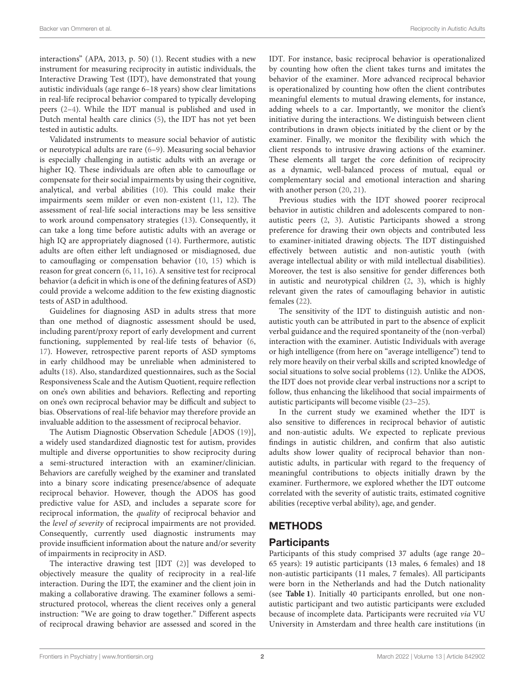interactions" (APA, 2013, p. 50) [\(1\)](#page-8-0). Recent studies with a new instrument for measuring reciprocity in autistic individuals, the Interactive Drawing Test (IDT), have demonstrated that young autistic individuals (age range 6–18 years) show clear limitations in real-life reciprocal behavior compared to typically developing peers [\(2–](#page-8-1)[4\)](#page-8-2). While the IDT manual is published and used in Dutch mental health care clinics [\(5\)](#page-8-3), the IDT has not yet been tested in autistic adults.

Validated instruments to measure social behavior of autistic or neurotypical adults are rare [\(6–](#page-8-4)[9\)](#page-8-5). Measuring social behavior is especially challenging in autistic adults with an average or higher IQ. These individuals are often able to camouflage or compensate for their social impairments by using their cognitive, analytical, and verbal abilities [\(10\)](#page-8-6). This could make their impairments seem milder or even non-existent [\(11,](#page-8-7) [12\)](#page-8-8). The assessment of real-life social interactions may be less sensitive to work around compensatory strategies [\(13\)](#page-8-9). Consequently, it can take a long time before autistic adults with an average or high IQ are appropriately diagnosed [\(14\)](#page-8-10). Furthermore, autistic adults are often either left undiagnosed or misdiagnosed, due to camouflaging or compensation behavior [\(10,](#page-8-6) [15\)](#page-8-11) which is reason for great concern [\(6,](#page-8-4) [11,](#page-8-7) [16\)](#page-8-12). A sensitive test for reciprocal behavior (a deficit in which is one of the defining features of ASD) could provide a welcome addition to the few existing diagnostic tests of ASD in adulthood.

Guidelines for diagnosing ASD in adults stress that more than one method of diagnostic assessment should be used, including parent/proxy report of early development and current functioning, supplemented by real-life tests of behavior [\(6,](#page-8-4) [17\)](#page-8-13). However, retrospective parent reports of ASD symptoms in early childhood may be unreliable when administered to adults [\(18\)](#page-8-14). Also, standardized questionnaires, such as the Social Responsiveness Scale and the Autism Quotient, require reflection on one's own abilities and behaviors. Reflecting and reporting on one's own reciprocal behavior may be difficult and subject to bias. Observations of real-life behavior may therefore provide an invaluable addition to the assessment of reciprocal behavior.

The Autism Diagnostic Observation Schedule [ADOS [\(19\)](#page-8-15)], a widely used standardized diagnostic test for autism, provides multiple and diverse opportunities to show reciprocity during a semi-structured interaction with an examiner/clinician. Behaviors are carefully weighed by the examiner and translated into a binary score indicating presence/absence of adequate reciprocal behavior. However, though the ADOS has good predictive value for ASD, and includes a separate score for reciprocal information, the quality of reciprocal behavior and the level of severity of reciprocal impairments are not provided. Consequently, currently used diagnostic instruments may provide insufficient information about the nature and/or severity of impairments in reciprocity in ASD.

The interactive drawing test [IDT [\(2\)](#page-8-1)] was developed to objectively measure the quality of reciprocity in a real-life interaction. During the IDT, the examiner and the client join in making a collaborative drawing. The examiner follows a semistructured protocol, whereas the client receives only a general instruction: "We are going to draw together." Different aspects of reciprocal drawing behavior are assessed and scored in the IDT. For instance, basic reciprocal behavior is operationalized by counting how often the client takes turns and imitates the behavior of the examiner. More advanced reciprocal behavior is operationalized by counting how often the client contributes meaningful elements to mutual drawing elements, for instance, adding wheels to a car. Importantly, we monitor the client's initiative during the interactions. We distinguish between client contributions in drawn objects initiated by the client or by the examiner. Finally, we monitor the flexibility with which the client responds to intrusive drawing actions of the examiner. These elements all target the core definition of reciprocity as a dynamic, well-balanced process of mutual, equal or complementary social and emotional interaction and sharing with another person [\(20,](#page-8-16) [21\)](#page-8-17).

Previous studies with the IDT showed poorer reciprocal behavior in autistic children and adolescents compared to nonautistic peers [\(2,](#page-8-1) [3\)](#page-8-18). Autistic Participants showed a strong preference for drawing their own objects and contributed less to examiner-initiated drawing objects. The IDT distinguished effectively between autistic and non-autistic youth (with average intellectual ability or with mild intellectual disabilities). Moreover, the test is also sensitive for gender differences both in autistic and neurotypical children [\(2,](#page-8-1) [3\)](#page-8-18), which is highly relevant given the rates of camouflaging behavior in autistic females [\(22\)](#page-8-19).

The sensitivity of the IDT to distinguish autistic and nonautistic youth can be attributed in part to the absence of explicit verbal guidance and the required spontaneity of the (non-verbal) interaction with the examiner. Autistic Individuals with average or high intelligence (from here on "average intelligence") tend to rely more heavily on their verbal skills and scripted knowledge of social situations to solve social problems [\(12\)](#page-8-8). Unlike the ADOS, the IDT does not provide clear verbal instructions nor a script to follow, thus enhancing the likelihood that social impairments of autistic participants will become visible [\(23](#page-8-20)[–25\)](#page-9-0).

In the current study we examined whether the IDT is also sensitive to differences in reciprocal behavior of autistic and non-autistic adults. We expected to replicate previous findings in autistic children, and confirm that also autistic adults show lower quality of reciprocal behavior than nonautistic adults, in particular with regard to the frequency of meaningful contributions to objects initially drawn by the examiner. Furthermore, we explored whether the IDT outcome correlated with the severity of autistic traits, estimated cognitive abilities (receptive verbal ability), age, and gender.

# **METHODS**

# **Participants**

Participants of this study comprised 37 adults (age range 20– 65 years): 19 autistic participants (13 males, 6 females) and 18 non-autistic participants (11 males, 7 females). All participants were born in the Netherlands and had the Dutch nationality (see **[Table 1](#page-2-0)**). Initially 40 participants enrolled, but one nonautistic participant and two autistic participants were excluded because of incomplete data. Participants were recruited via VU University in Amsterdam and three health care institutions (in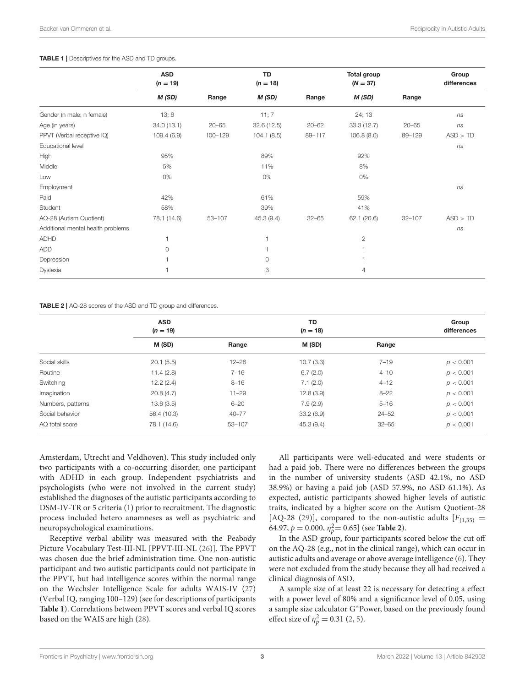#### <span id="page-2-0"></span>TABLE 1 | Descriptives for the ASD and TD groups.

|                                   | <b>ASD</b><br>$(n = 19)$ | TD<br>$(n = 18)$ |            |           | Total group<br>$(N = 37)$ |            | Group<br>differences |
|-----------------------------------|--------------------------|------------------|------------|-----------|---------------------------|------------|----------------------|
|                                   | M (SD)                   | Range            | M(SD)      | Range     | M(SD)                     | Range      |                      |
| Gender (n male; n female)         | 13;6                     |                  | 11; 7      |           | 24; 13                    |            | ns                   |
| Age (in years)                    | 34.0(13.1)               | $20 - 65$        | 32.6(12.5) | $20 - 62$ | 33.3(12.7)                | $20 - 65$  | ns                   |
| PPVT (Verbal receptive IQ)        | 109.4(6.9)               | 100-129          | 104.1(8.5) | 89-117    | 106.8(8.0)                | 89-129     | ASD > TD             |
| Educational level                 |                          |                  |            |           |                           |            | ns                   |
| High                              | 95%                      |                  | 89%        |           | 92%                       |            |                      |
| Middle                            | 5%                       |                  | 11%        |           | 8%                        |            |                      |
| Low                               | 0%                       |                  | 0%         |           | 0%                        |            |                      |
| Employment                        |                          |                  |            |           |                           |            | ns                   |
| Paid                              | 42%                      |                  | 61%        |           | 59%                       |            |                      |
| Student                           | 58%                      |                  | 39%        |           | 41%                       |            |                      |
| AQ-28 (Autism Quotient)           | 78.1 (14.6)              | 53-107           | 45.3 (9.4) | $32 - 65$ | 62.1 (20.6)               | $32 - 107$ | ASD > TD             |
| Additional mental health problems |                          |                  |            |           |                           |            | ns                   |
| <b>ADHD</b>                       |                          |                  | 1          |           | $\overline{c}$            |            |                      |
| ADD                               | $\Omega$                 |                  |            |           |                           |            |                      |
| Depression                        |                          |                  | $\circ$    |           |                           |            |                      |
| Dyslexia                          |                          |                  | 3          |           | $\overline{4}$            |            |                      |
|                                   |                          |                  |            |           |                           |            |                      |

#### <span id="page-2-1"></span>TABLE 2 | AQ-28 scores of the ASD and TD group and differences.

|                   | <b>ASD</b><br>$(n = 19)$ |           | <b>TD</b><br>$(n = 18)$ |           | Group<br>differences |
|-------------------|--------------------------|-----------|-------------------------|-----------|----------------------|
|                   | M (SD)                   | Range     | M (SD)                  | Range     |                      |
| Social skills     | 20.1(5.5)                | $12 - 28$ | 10.7(3.3)               | $7 - 19$  | p < 0.001            |
| Routine           | 11.4(2.8)                | $7 - 16$  | 6.7(2.0)                | $4 - 10$  | p < 0.001            |
| Switching         | 12.2(2.4)                | $8 - 16$  | 7.1(2.0)                | $4 - 12$  | p < 0.001            |
| Imagination       | 20.8(4.7)                | $11 - 29$ | 12.8(3.9)               | $8 - 22$  | p < 0.001            |
| Numbers, patterns | 13.6(3.5)                | $6 - 20$  | 7.9(2.9)                | $5 - 16$  | p < 0.001            |
| Social behavior   | 56.4 (10.3)              | $40 - 77$ | 33.2(6.9)               | $24 - 52$ | p < 0.001            |
| AQ total score    | 78.1 (14.6)              | 53-107    | 45.3(9.4)               | $32 - 65$ | p < 0.001            |

Amsterdam, Utrecht and Veldhoven). This study included only two participants with a co-occurring disorder, one participant with ADHD in each group. Independent psychiatrists and psychologists (who were not involved in the current study) established the diagnoses of the autistic participants according to DSM-IV-TR or 5 criteria [\(1\)](#page-8-0) prior to recruitment. The diagnostic process included hetero anamneses as well as psychiatric and neuropsychological examinations.

Receptive verbal ability was measured with the Peabody Picture Vocabulary Test-III-NL [PPVT-III-NL [\(26\)](#page-9-1)]. The PPVT was chosen due the brief administration time. One non-autistic participant and two autistic participants could not participate in the PPVT, but had intelligence scores within the normal range on the Wechsler Intelligence Scale for adults WAIS-IV [\(27\)](#page-9-2) (Verbal IQ, ranging 100–129) (see for descriptions of participants **[Table 1](#page-2-0)**). Correlations between PPVT scores and verbal IQ scores based on the WAIS are high [\(28\)](#page-9-3).

All participants were well-educated and were students or had a paid job. There were no differences between the groups in the number of university students (ASD 42.1%, no ASD 38.9%) or having a paid job (ASD 57.9%, no ASD 61.1%). As expected, autistic participants showed higher levels of autistic traits, indicated by a higher score on the Autism Quotient-28 [AQ-28 [\(29\)](#page-9-4)], compared to the non-autistic adults  $[F(1,35)]$  = 64.97,  $p = 0.000$ ,  $\eta_{p}^{2} = 0.65$ ] (see **[Table 2](#page-2-1)**).

In the ASD group, four participants scored below the cut off on the AQ-28 (e.g., not in the clinical range), which can occur in autistic adults and average or above average intelligence [\(6\)](#page-8-4). They were not excluded from the study because they all had received a clinical diagnosis of ASD.

A sample size of at least 22 is necessary for detecting a effect with a power level of 80% and a significance level of 0.05, using a sample size calculator G∗Power, based on the previously found effect size of  $\eta_p^2 = 0.31$  [\(2,](#page-8-1) [5\)](#page-8-3).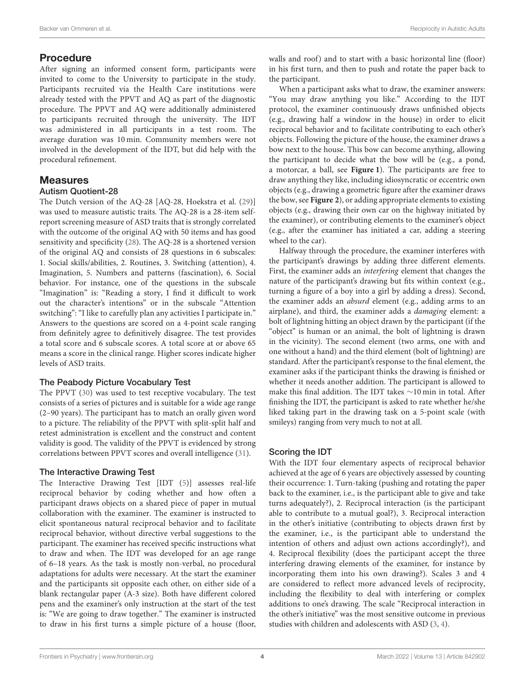# Procedure

After signing an informed consent form, participants were invited to come to the University to participate in the study. Participants recruited via the Health Care institutions were already tested with the PPVT and AQ as part of the diagnostic procedure. The PPVT and AQ were additionally administered to participants recruited through the university. The IDT was administered in all participants in a test room. The average duration was 10 min. Community members were not involved in the development of the IDT, but did help with the procedural refinement.

## Measures

#### Autism Quotient-28

The Dutch version of the AQ-28 [AQ-28, Hoekstra et al. [\(29\)](#page-9-4)] was used to measure autistic traits. The AQ-28 is a 28-item selfreport screening measure of ASD traits that is strongly correlated with the outcome of the original AQ with 50 items and has good sensitivity and specificity [\(28\)](#page-9-3). The AQ-28 is a shortened version of the original AQ and consists of 28 questions in 6 subscales: 1. Social skills/abilities, 2. Routines, 3. Switching (attention), 4. Imagination, 5. Numbers and patterns (fascination), 6. Social behavior. For instance, one of the questions in the subscale "Imagination" is: "Reading a story, I find it difficult to work out the character's intentions" or in the subscale "Attention switching": "I like to carefully plan any activities I participate in." Answers to the questions are scored on a 4-point scale ranging from definitely agree to definitively disagree. The test provides a total score and 6 subscale scores. A total score at or above 65 means a score in the clinical range. Higher scores indicate higher levels of ASD traits.

#### The Peabody Picture Vocabulary Test

The PPVT [\(30\)](#page-9-5) was used to test receptive vocabulary. The test consists of a series of pictures and is suitable for a wide age range (2–90 years). The participant has to match an orally given word to a picture. The reliability of the PPVT with split-split half and retest administration is excellent and the construct and content validity is good. The validity of the PPVT is evidenced by strong correlations between PPVT scores and overall intelligence [\(31\)](#page-9-6).

## The Interactive Drawing Test

The Interactive Drawing Test [IDT [\(5\)](#page-8-3)] assesses real-life reciprocal behavior by coding whether and how often a participant draws objects on a shared piece of paper in mutual collaboration with the examiner. The examiner is instructed to elicit spontaneous natural reciprocal behavior and to facilitate reciprocal behavior, without directive verbal suggestions to the participant. The examiner has received specific instructions what to draw and when. The IDT was developed for an age range of 6–18 years. As the task is mostly non-verbal, no procedural adaptations for adults were necessary. At the start the examiner and the participants sit opposite each other, on either side of a blank rectangular paper (A-3 size). Both have different colored pens and the examiner's only instruction at the start of the test is: "We are going to draw together." The examiner is instructed to draw in his first turns a simple picture of a house (floor, walls and roof) and to start with a basic horizontal line (floor) in his first turn, and then to push and rotate the paper back to the participant.

When a participant asks what to draw, the examiner answers: "You may draw anything you like." According to the IDT protocol, the examiner continuously draws unfinished objects (e.g., drawing half a window in the house) in order to elicit reciprocal behavior and to facilitate contributing to each other's objects. Following the picture of the house, the examiner draws a bow next to the house. This bow can become anything, allowing the participant to decide what the bow will be (e.g., a pond, a motorcar, a ball, see **[Figure 1](#page-4-0)**). The participants are free to draw anything they like, including idiosyncratic or eccentric own objects (e.g., drawing a geometric figure after the examiner draws the bow, see **[Figure 2](#page-5-0)**), or adding appropriate elements to existing objects (e.g., drawing their own car on the highway initiated by the examiner), or contributing elements to the examiner's object (e.g., after the examiner has initiated a car, adding a steering wheel to the car).

Halfway through the procedure, the examiner interferes with the participant's drawings by adding three different elements. First, the examiner adds an interfering element that changes the nature of the participant's drawing but fits within context (e.g., turning a figure of a boy into a girl by adding a dress). Second, the examiner adds an absurd element (e.g., adding arms to an airplane), and third, the examiner adds a damaging element: a bolt of lightning hitting an object drawn by the participant (if the "object" is human or an animal, the bolt of lightning is drawn in the vicinity). The second element (two arms, one with and one without a hand) and the third element (bolt of lightning) are standard. After the participant's response to the final element, the examiner asks if the participant thinks the drawing is finished or whether it needs another addition. The participant is allowed to make this final addition. The IDT takes ∼10 min in total. After finishing the IDT, the participant is asked to rate whether he/she liked taking part in the drawing task on a 5-point scale (with smileys) ranging from very much to not at all.

## Scoring the IDT

With the IDT four elementary aspects of reciprocal behavior achieved at the age of 6 years are objectively assessed by counting their occurrence: 1. Turn-taking (pushing and rotating the paper back to the examiner, i.e., is the participant able to give and take turns adequately?), 2. Reciprocal interaction (is the participant able to contribute to a mutual goal?), 3. Reciprocal interaction in the other's initiative (contributing to objects drawn first by the examiner, i.e., is the participant able to understand the intention of others and adjust own actions accordingly?), and 4. Reciprocal flexibility (does the participant accept the three interfering drawing elements of the examiner, for instance by incorporating them into his own drawing?). Scales 3 and 4 are considered to reflect more advanced levels of reciprocity, including the flexibility to deal with interfering or complex additions to one's drawing. The scale "Reciprocal interaction in the other's initiative" was the most sensitive outcome in previous studies with children and adolescents with ASD [\(3,](#page-8-18) [4\)](#page-8-2).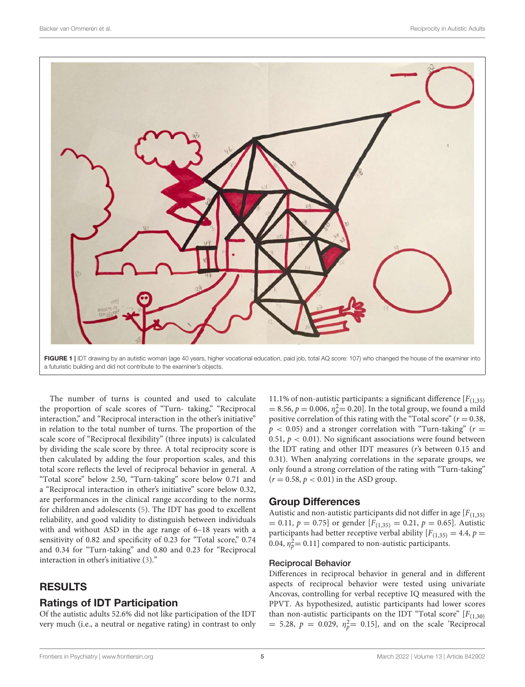

a futuristic building and did not contribute to the examiner's objects.

<span id="page-4-0"></span>The number of turns is counted and used to calculate the proportion of scale scores of "Turn- taking," "Reciprocal interaction," and "Reciprocal interaction in the other's initiative" in relation to the total number of turns. The proportion of the scale score of "Reciprocal flexibility" (three inputs) is calculated by dividing the scale score by three. A total reciprocity score is then calculated by adding the four proportion scales, and this total score reflects the level of reciprocal behavior in general. A "Total score" below 2.50, "Turn-taking" score below 0.71 and a "Reciprocal interaction in other's initiative" score below 0.32, are performances in the clinical range according to the norms for children and adolescents [\(5\)](#page-8-3). The IDT has good to excellent reliability, and good validity to distinguish between individuals with and without ASD in the age range of 6–18 years with a sensitivity of 0.82 and specificity of 0.23 for "Total score," 0.74 and 0.34 for "Turn-taking" and 0.80 and 0.23 for "Reciprocal interaction in other's initiative [\(3\)](#page-8-18)."

# RESULTS

# Ratings of IDT Participation

Of the autistic adults 52.6% did not like participation of the IDT very much (i.e., a neutral or negative rating) in contrast to only

11.1% of non-autistic participants: a significant difference  $[F(1,35)]$ = 8.56,  $p = 0.006$ ,  $\eta_p^2 = 0.20$ . In the total group, we found a mild positive correlation of this rating with the "Total score" ( $r = 0.38$ ,  $p$  < 0.05) and a stronger correlation with "Turn-taking" ( $r =$ 0.51,  $p < 0.01$ ). No significant associations were found between the IDT rating and other IDT measures (r's between 0.15 and 0.31). When analyzing correlations in the separate groups, we only found a strong correlation of the rating with "Turn-taking"  $(r = 0.58, p < 0.01)$  in the ASD group.

# Group Differences

Autistic and non-autistic participants did not differ in age  $[F(1,35)]$  $= 0.11, p = 0.75$ ] or gender [ $F_{(1,35)} = 0.21, p = 0.65$ ]. Autistic participants had better receptive verbal ability  $[F_{(1,35)} = 4.4, p =$ 0.04,  $\eta_p^2$  = 0.11] compared to non-autistic participants.

#### Reciprocal Behavior

Differences in reciprocal behavior in general and in different aspects of reciprocal behavior were tested using univariate Ancovas, controlling for verbal receptive IQ measured with the PPVT. As hypothesized, autistic participants had lower scores than non-autistic participants on the IDT "Total score"  $[F(1,30)]$ = 5.28,  $p = 0.029$ ,  $\eta_p^2 = 0.15$ , and on the scale 'Reciprocal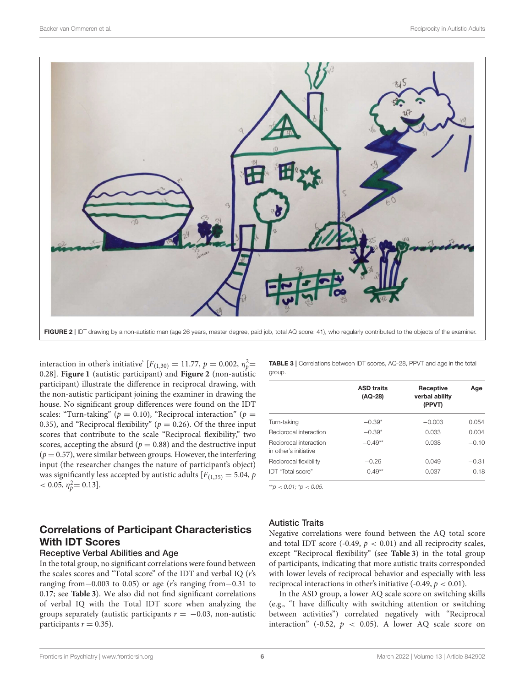

<span id="page-5-0"></span>interaction in other's initiative'  $[F_{(1,30)} = 11.77, p = 0.002, \eta_p^2 =$ 0.28]. **[Figure 1](#page-4-0)** (autistic participant) and **[Figure 2](#page-5-0)** (non-autistic participant) illustrate the difference in reciprocal drawing, with the non-autistic participant joining the examiner in drawing the house. No significant group differences were found on the IDT scales: "Turn-taking" ( $p = 0.10$ ), "Reciprocal interaction" ( $p =$ 0.35), and "Reciprocal flexibility" ( $p = 0.26$ ). Of the three input scores that contribute to the scale "Reciprocal flexibility," two scores, accepting the absurd ( $p = 0.88$ ) and the destructive input  $(p = 0.57)$ , were similar between groups. However, the interfering input (the researcher changes the nature of participant's object) was significantly less accepted by autistic adults  $[F_{(1,35)} = 5.04, p]$  $< 0.05, \eta_p^2 = 0.13$ .

# Correlations of Participant Characteristics With IDT Scores

#### Receptive Verbal Abilities and Age

In the total group, no significant correlations were found between the scales scores and "Total score" of the IDT and verbal IQ (r's ranging from−0.003 to 0.05) or age (r's ranging from−0.31 to 0.17; see **[Table 3](#page-5-1)**). We also did not find significant correlations of verbal IQ with the Total IDT score when analyzing the groups separately (autistic participants  $r = -0.03$ , non-autistic participants  $r = 0.35$ ).

<span id="page-5-1"></span>TABLE 3 | Correlations between IDT scores, AQ-28, PPVT and age in the total group.

|                                                 | <b>ASD traits</b><br>(AQ-28) | Receptive<br>verbal ability<br>(PPVT) | Age     |
|-------------------------------------------------|------------------------------|---------------------------------------|---------|
| Turn-taking                                     | $-0.39*$                     | $-0.003$                              | 0.054   |
| Reciprocal interaction                          | $-0.39*$                     | 0.033                                 | 0.004   |
| Reciprocal interaction<br>in other's initiative | $-0.49**$                    | 0.038                                 | $-0.10$ |
| Reciprocal flexibility                          | $-0.26$                      | 0.049                                 | $-0.31$ |
| IDT "Total score"                               | $-0.49**$                    | 0.037                                 | $-0.18$ |

\*\**p* < *0.01;* \**p* < *0.05.*

#### Autistic Traits

Negative correlations were found between the AQ total score and total IDT score (-0.49,  $p < 0.01$ ) and all reciprocity scales, except "Reciprocal flexibility" (see **[Table 3](#page-5-1)**) in the total group of participants, indicating that more autistic traits corresponded with lower levels of reciprocal behavior and especially with less reciprocal interactions in other's initiative  $(-0.49, p < 0.01)$ .

In the ASD group, a lower AQ scale score on switching skills (e.g., "I have difficulty with switching attention or switching between activities") correlated negatively with "Reciprocal interaction" (-0.52,  $p \, < 0.05$ ). A lower AQ scale score on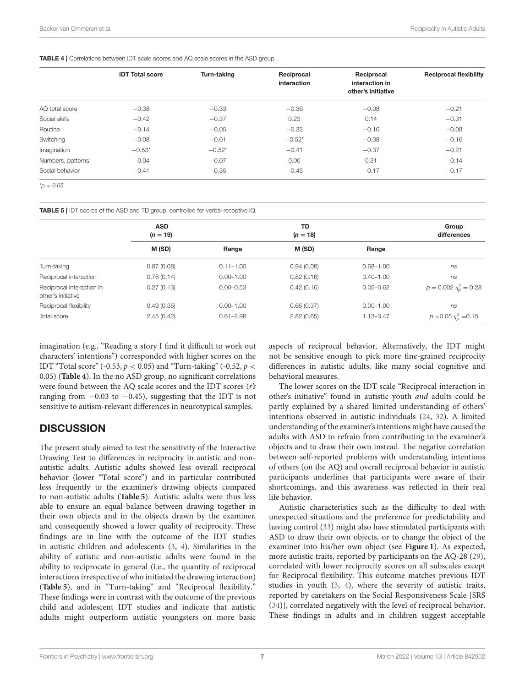<span id="page-6-0"></span>TABLE 4 | Correlations between IDT scale scores and AQ scale scores in the ASD group.

|                   | <b>IDT Total score</b> | Turn-taking | Reciprocal<br>interaction | Reciprocal<br>interaction in<br>other's initiative | <b>Reciprocal flexibility</b> |
|-------------------|------------------------|-------------|---------------------------|----------------------------------------------------|-------------------------------|
| AQ total score    | $-0.38$                | $-0.33$     | $-0.36$                   | $-0.08$                                            | $-0.21$                       |
| Social skills     | $-0.42$                | $-0.37$     | 0.23                      | 0.14                                               | $-0.31$                       |
| Routine           | $-0.14$                | $-0.05$     | $-0.32$                   | $-0.16$                                            | $-0.08$                       |
| Switching         | $-0.08$                | $-0.01$     | $-0.52*$                  | $-0.08$                                            | $-0.16$                       |
| Imagination       | $-0.53*$               | $-0.52*$    | $-0.41$                   | $-0.37$                                            | $-0.21$                       |
| Numbers, patterns | $-0.04$                | $-0.07$     | 0.00                      | 0.31                                               | $-0.14$                       |
| Social behavior   | $-0.41$                | $-0.35$     | $-0.45$                   | $-0.17$                                            | $-0.17$                       |

\**p* < *0.05.*

<span id="page-6-1"></span>TABLE 5 | IDT scores of the ASD and TD group, controlled for verbal receptive IQ.

|                                                 | <b>ASD</b><br>$(n = 19)$ |               | TD<br>$(n = 18)$ |               | Group<br>differences             |
|-------------------------------------------------|--------------------------|---------------|------------------|---------------|----------------------------------|
|                                                 | M (SD)                   | Range         | M (SD)           | Range         |                                  |
| Turn-taking                                     | 0.87(0.08)               | $0.11 - 1.00$ | 0.94(0.08)       | $0.68 - 1.00$ | ns                               |
| Reciprocal interaction                          | 0.76(0.14)               | $0.00 - 1.00$ | 0.82(0.16)       | $0.40 - 1.00$ | ns                               |
| Reciprocal interaction in<br>other's initiative | 0.27(0.13)               | $0.00 - 0.53$ | 0.42(0.16)       | $0.05 - 0.62$ | $p = 0.002 \eta_{\rho}^2 = 0.28$ |
| Reciprocal flexibility                          | 0.49(0.35)               | $0.00 - 1.00$ | 0.65(0.37)       | $0.00 - 1.00$ | ns                               |
| Total score                                     | 2.45(0.42)               | $0.61 - 2.98$ | 2.82(0.65)       | $1.13 - 3.47$ | $p < 0.05 \eta_p^2 = 0.15$       |

imagination (e.g., "Reading a story I find it difficult to work out characters' intentions") corresponded with higher scores on the IDT "Total score" (-0.53,  $p < 0.05$ ) and "Turn-taking" (-0.52,  $p <$ 0.05) (**[Table 4](#page-6-0)**). In the no ASD group, no significant correlations were found between the AQ scale scores and the IDT scores (r's ranging from  $-0.03$  to  $-0.45$ ), suggesting that the IDT is not sensitive to autism-relevant differences in neurotypical samples.

# **DISCUSSION**

The present study aimed to test the sensitivity of the Interactive Drawing Test to differences in reciprocity in autistic and nonautistic adults. Autistic adults showed less overall reciprocal behavior (lower "Total score") and in particular contributed less frequently to the examiner's drawing objects compared to non-autistic adults (**[Table 5](#page-6-1)**). Autistic adults were thus less able to ensure an equal balance between drawing together in their own objects and in the objects drawn by the examiner, and consequently showed a lower quality of reciprocity. These findings are in line with the outcome of the IDT studies in autistic children and adolescents [\(3,](#page-8-18) [4\)](#page-8-2). Similarities in the ability of autistic and non-autistic adults were found in the ability to reciprocate in general (i.e., the quantity of reciprocal interactions irrespective of who initiated the drawing interaction) (**[Table 5](#page-6-1)**), and in "Turn-taking" and "Reciprocal flexibility." These findings were in contrast with the outcome of the previous child and adolescent IDT studies and indicate that autistic adults might outperform autistic youngsters on more basic aspects of reciprocal behavior. Alternatively, the IDT might not be sensitive enough to pick more fine-grained reciprocity differences in autistic adults, like many social cognitive and behavioral measures.

The lower scores on the IDT scale "Reciprocal interaction in other's initiative" found in autistic youth and adults could be partly explained by a shared limited understanding of others' intentions observed in autistic individuals [\(24,](#page-9-7) [32\)](#page-9-8). A limited understanding of the examiner's intentions might have caused the adults with ASD to refrain from contributing to the examiner's objects and to draw their own instead. The negative correlation between self-reported problems with understanding intentions of others (on the AQ) and overall reciprocal behavior in autistic participants underlines that participants were aware of their shortcomings, and this awareness was reflected in their real life behavior.

Autistic characteristics such as the difficulty to deal with unexpected situations and the preference for predictability and having control [\(33\)](#page-9-9) might also have stimulated participants with ASD to draw their own objects, or to change the object of the examiner into his/her own object (see **[Figure 1](#page-4-0)**). As expected, more autistic traits, reported by participants on the AQ-28 [\(29\)](#page-9-4), correlated with lower reciprocity scores on all subscales except for Reciprocal flexibility. This outcome matches previous IDT studies in youth [\(3,](#page-8-18) [4\)](#page-8-2), where the severity of autistic traits, reported by caretakers on the Social Responsiveness Scale [SRS [\(34\)](#page-9-10)], correlated negatively with the level of reciprocal behavior. These findings in adults and in children suggest acceptable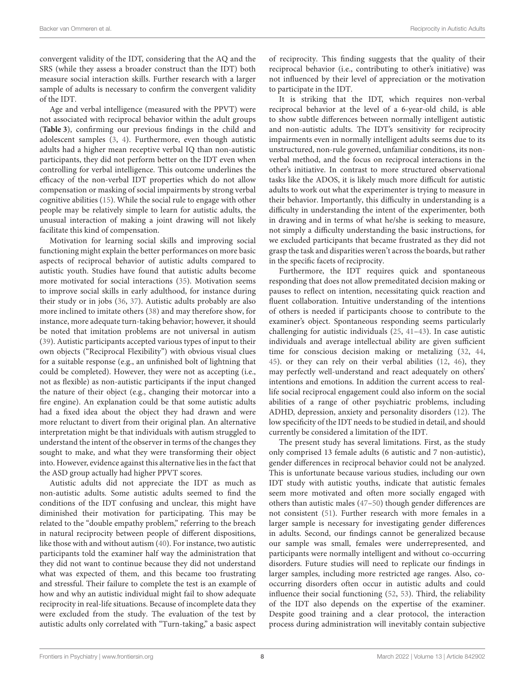convergent validity of the IDT, considering that the AQ and the SRS (while they assess a broader construct than the IDT) both measure social interaction skills. Further research with a larger sample of adults is necessary to confirm the convergent validity of the IDT.

Age and verbal intelligence (measured with the PPVT) were not associated with reciprocal behavior within the adult groups (**[Table 3](#page-5-1)**), confirming our previous findings in the child and adolescent samples [\(3,](#page-8-18) [4\)](#page-8-2). Furthermore, even though autistic adults had a higher mean receptive verbal IQ than non-autistic participants, they did not perform better on the IDT even when controlling for verbal intelligence. This outcome underlines the efficacy of the non-verbal IDT properties which do not allow compensation or masking of social impairments by strong verbal cognitive abilities [\(15\)](#page-8-11). While the social rule to engage with other people may be relatively simple to learn for autistic adults, the unusual interaction of making a joint drawing will not likely facilitate this kind of compensation.

Motivation for learning social skills and improving social functioning might explain the better performances on more basic aspects of reciprocal behavior of autistic adults compared to autistic youth. Studies have found that autistic adults become more motivated for social interactions [\(35\)](#page-9-11). Motivation seems to improve social skills in early adulthood, for instance during their study or in jobs [\(36,](#page-9-12) [37\)](#page-9-13). Autistic adults probably are also more inclined to imitate others [\(38\)](#page-9-14) and may therefore show, for instance, more adequate turn-taking behavior; however, it should be noted that imitation problems are not universal in autism [\(39\)](#page-9-15). Autistic participants accepted various types of input to their own objects ("Reciprocal Flexibility") with obvious visual clues for a suitable response (e.g., an unfinished bolt of lightning that could be completed). However, they were not as accepting (i.e., not as flexible) as non-autistic participants if the input changed the nature of their object (e.g., changing their motorcar into a fire engine). An explanation could be that some autistic adults had a fixed idea about the object they had drawn and were more reluctant to divert from their original plan. An alternative interpretation might be that individuals with autism struggled to understand the intent of the observer in terms of the changes they sought to make, and what they were transforming their object into. However, evidence against this alternative lies in the fact that the ASD group actually had higher PPVT scores.

Autistic adults did not appreciate the IDT as much as non-autistic adults. Some autistic adults seemed to find the conditions of the IDT confusing and unclear, this might have diminished their motivation for participating. This may be related to the "double empathy problem," referring to the breach in natural reciprocity between people of different dispositions, like those with and without autism [\(40\)](#page-9-16). For instance, two autistic participants told the examiner half way the administration that they did not want to continue because they did not understand what was expected of them, and this became too frustrating and stressful. Their failure to complete the test is an example of how and why an autistic individual might fail to show adequate reciprocity in real-life situations. Because of incomplete data they were excluded from the study. The evaluation of the test by autistic adults only correlated with "Turn-taking," a basic aspect of reciprocity. This finding suggests that the quality of their reciprocal behavior (i.e., contributing to other's initiative) was not influenced by their level of appreciation or the motivation to participate in the IDT.

It is striking that the IDT, which requires non-verbal reciprocal behavior at the level of a 6-year-old child, is able to show subtle differences between normally intelligent autistic and non-autistic adults. The IDT's sensitivity for reciprocity impairments even in normally intelligent adults seems due to its unstructured, non-rule governed, unfamiliar conditions, its nonverbal method, and the focus on reciprocal interactions in the other's initiative. In contrast to more structured observational tasks like the ADOS, it is likely much more difficult for autistic adults to work out what the experimenter is trying to measure in their behavior. Importantly, this difficulty in understanding is a difficulty in understanding the intent of the experimenter, both in drawing and in terms of what he/she is seeking to measure, not simply a difficulty understanding the basic instructions, for we excluded participants that became frustrated as they did not grasp the task and disparities weren't across the boards, but rather in the specific facets of reciprocity.

Furthermore, the IDT requires quick and spontaneous responding that does not allow premeditated decision making or pauses to reflect on intention, necessitating quick reaction and fluent collaboration. Intuitive understanding of the intentions of others is needed if participants choose to contribute to the examiner's object. Spontaneous responding seems particularly challenging for autistic individuals [\(25,](#page-9-0) [41–](#page-9-17)[43\)](#page-9-18). In case autistic individuals and average intellectual ability are given sufficient time for conscious decision making or metalizing [\(32,](#page-9-8) [44,](#page-9-19) [45\)](#page-9-20). or they can rely on their verbal abilities [\(12,](#page-8-8) [46\)](#page-9-21), they may perfectly well-understand and react adequately on others' intentions and emotions. In addition the current access to reallife social reciprocal engagement could also inform on the social abilities of a range of other psychiatric problems, including ADHD, depression, anxiety and personality disorders [\(12\)](#page-8-8). The low specificity of the IDT needs to be studied in detail, and should currently be considered a limitation of the IDT.

The present study has several limitations. First, as the study only comprised 13 female adults (6 autistic and 7 non-autistic), gender differences in reciprocal behavior could not be analyzed. This is unfortunate because various studies, including our own IDT study with autistic youths, indicate that autistic females seem more motivated and often more socially engaged with others than autistic males [\(47](#page-9-22)[–50\)](#page-9-23) though gender differences are not consistent [\(51\)](#page-9-24). Further research with more females in a larger sample is necessary for investigating gender differences in adults. Second, our findings cannot be generalized because our sample was small, females were underrepresented, and participants were normally intelligent and without co-occurring disorders. Future studies will need to replicate our findings in larger samples, including more restricted age ranges. Also, cooccurring disorders often occur in autistic adults and could influence their social functioning [\(52,](#page-9-25) [53\)](#page-9-26). Third, the reliability of the IDT also depends on the expertise of the examiner. Despite good training and a clear protocol, the interaction process during administration will inevitably contain subjective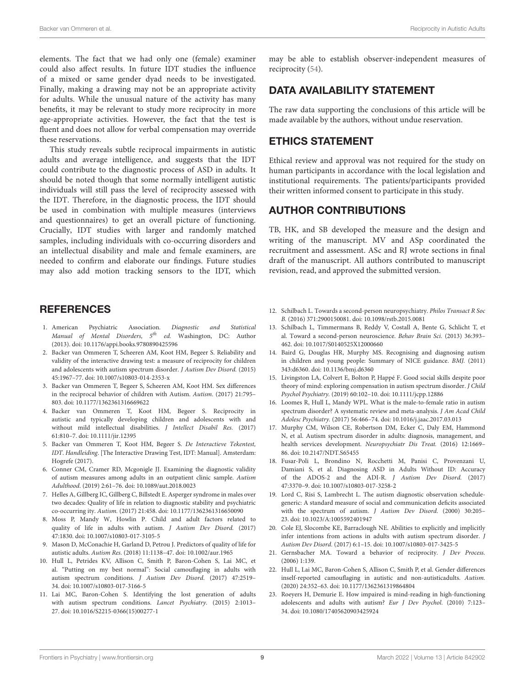elements. The fact that we had only one (female) examiner could also affect results. In future IDT studies the influence of a mixed or same gender dyad needs to be investigated. Finally, making a drawing may not be an appropriate activity for adults. While the unusual nature of the activity has many benefits, it may be relevant to study more reciprocity in more age-appropriate activities. However, the fact that the test is fluent and does not allow for verbal compensation may override these reservations.

This study reveals subtle reciprocal impairments in autistic adults and average intelligence, and suggests that the IDT could contribute to the diagnostic process of ASD in adults. It should be noted though that some normally intelligent autistic individuals will still pass the level of reciprocity assessed with the IDT. Therefore, in the diagnostic process, the IDT should be used in combination with multiple measures (interviews and questionnaires) to get an overall picture of functioning. Crucially, IDT studies with larger and randomly matched samples, including individuals with co-occurring disorders and an intellectual disability and male and female examiners, are needed to confirm and elaborate our findings. Future studies may also add motion tracking sensors to the IDT, which

## **REFERENCES**

- <span id="page-8-0"></span>1. American Psychiatric Association. Diagnostic and Statistical Manual of Mental Disorders,  $5^{th}$  ed. Washington, DC: Author (2013). doi: [10.1176/appi.books.9780890425596](https://doi.org/10.1176/appi.books.9780890425596)
- <span id="page-8-1"></span>2. Backer van Ommeren T, Scheeren AM, Koot HM, Begeer S. Reliability and validity of the interactive drawing test: a measure of reciprocity for children and adolescents with autism spectrum disorder. J Autism Dev Disord. (2015) 45:1967–77. doi: [10.1007/s10803-014-2353-x](https://doi.org/10.1007/s10803-014-2353-x)
- <span id="page-8-18"></span>3. Backer van Ommeren T, Begeer S, Scheeren AM, Koot HM. Sex differences in the reciprocal behavior of children with Autism. Autism. (2017) 21:795– 803. doi: [10.1177/1362361316669622](https://doi.org/10.1177/1362361316669622)
- <span id="page-8-2"></span>4. Backer van Ommeren T, Koot HM, Begeer S. Reciprocity in autistic and typically developing children and adolescents with and without mild intellectual disabilities. J Intellect Disabil Res. (2017) 61:810–7. doi: [10.1111/jir.12395](https://doi.org/10.1111/jir.12395)
- <span id="page-8-3"></span>5. Backer van Ommeren T, Koot HM, Begeer S. De Interactieve Tekentest, IDT. Handleiding. [The Interactive Drawing Test, IDT: Manual]. Amsterdam: Hogrefe (2017).
- <span id="page-8-4"></span>6. Conner CM, Cramer RD, Mcgonigle JJ. Examining the diagnostic validity of autism measures among adults in an outpatient clinic sample. Autism Adulthood. (2019) 2:61–76. doi: [10.1089/aut.2018.0023](https://doi.org/10.1089/aut.2018.0023)
- 7. Helles A, Gillberg IC, Gillberg C, Billstedt E. Asperger syndrome in males over two decades: Quality of life in relation to diagnostic stability and psychiatric co-occurring ity. Autism. (2017) 21:458. doi: [10.1177/1362361316650090](https://doi.org/10.1177/1362361316650090)
- 8. Moss P, Mandy W, Howlin P. Child and adult factors related to quality of life in adults with autism. J Autism Dev Disord. (2017) 47:1830. doi: [10.1007/s10803-017-3105-5](https://doi.org/10.1007/s10803-017-3105-5)
- <span id="page-8-5"></span>9. Mason D, McConachie H, Garland D, Petrou J. Predictors of quality of life for autistic adults. Autism Res. (2018) 11:1138–47. doi: [10.1002/aur.1965](https://doi.org/10.1002/aur.1965)
- <span id="page-8-6"></span>10. Hull L, Petrides KV, Allison C, Smith P, Baron-Cohen S, Lai MC, et al. "Putting on my best normal": Social camouflaging in adults with autism spectrum conditions. J Autism Dev Disord. (2017) 47:2519– 34. doi: [10.1007/s10803-017-3166-5](https://doi.org/10.1007/s10803-017-3166-5)
- <span id="page-8-7"></span>11. Lai MC, Baron-Cohen S. Identifying the lost generation of adults with autism spectrum conditions. Lancet Psychiatry. (2015) 2:1013– 27. doi: [10.1016/S2215-0366\(15\)00277-1](https://doi.org/10.1016/S2215-0366(15)00277-1)

may be able to establish observer-independent measures of reciprocity [\(54\)](#page-9-27).

# DATA AVAILABILITY STATEMENT

The raw data supporting the conclusions of this article will be made available by the authors, without undue reservation.

# ETHICS STATEMENT

Ethical review and approval was not required for the study on human participants in accordance with the local legislation and institutional requirements. The patients/participants provided their written informed consent to participate in this study.

# AUTHOR CONTRIBUTIONS

TB, HK, and SB developed the measure and the design and writing of the manuscript. MV and ASp coordinated the recruitment and assessment. ASc and RJ wrote sections in final draft of the manuscript. All authors contributed to manuscript revision, read, and approved the submitted version.

- <span id="page-8-8"></span>12. Schilbach L. Towards a second-person neuropsychiatry. Philos Transact R Soc B. (2016) 371:2900150081. doi: [10.1098/rstb.2015.0081](https://doi.org/10.1098/rstb.2015.0081)
- <span id="page-8-9"></span>13. Schilbach L, Timmermans B, Reddy V, Costall A, Bente G, Schlicht T, et al. Toward a second-person neuroscience. Behav Brain Sci. (2013) 36:393– 462. doi: [10.1017/S0140525X12000660](https://doi.org/10.1017/S0140525X12000660)
- <span id="page-8-10"></span>14. Baird G, Douglas HR, Murphy MS. Recognising and diagnosing autism in children and young people: Summary of NICE guidance. BMJ. (2011) 343:d6360. doi: [10.1136/bmj.d6360](https://doi.org/10.1136/bmj.d6360)
- <span id="page-8-11"></span>15. Livingston LA, Colvert E, Bolton P, Happé F. Good social skills despite poor theory of mind: exploring compensation in autism spectrum disorder. J Child Psychol Psychiatry. (2019) 60:102–10. doi: [10.1111/jcpp.12886](https://doi.org/10.1111/jcpp.12886)
- <span id="page-8-12"></span>16. Loomes R, Hull L, Mandy WPL. What is the male-to-female ratio in autism spectrum disorder? A systematic review and meta-analysis. J Am Acad Child Adolesc Psychiatry. (2017) 56:466–74. doi: [10.1016/j.jaac.2017.03.013](https://doi.org/10.1016/j.jaac.2017.03.013)
- <span id="page-8-13"></span>17. Murphy CM, Wilson CE, Robertson DM, Ecker C, Daly EM, Hammond N, et al. Autism spectrum disorder in adults: diagnosis, management, and health services development. Neuropsychiatr Dis Treat. (2016) 12:1669– 86. doi: [10.2147/NDT.S65455](https://doi.org/10.2147/NDT.S65455)
- <span id="page-8-14"></span>18. Fusar-Poli L, Brondino N, Rocchetti M, Panisi C, Provenzani U, Damiani S, et al. Diagnosing ASD in Adults Without ID: Accuracy of the ADOS-2 and the ADI-R. J Autism Dev Disord. (2017) 47:3370–9. doi: [10.1007/s10803-017-3258-2](https://doi.org/10.1007/s10803-017-3258-2)
- <span id="page-8-15"></span>19. Lord C, Risi S, Lambrecht L. The autism diagnostic observation schedulegeneric: A standard measure of social and communication deficits associated with the spectrum of autism. J Autism Dev Disord. (2000) 30:205– 23. doi: [10.1023/A:1005592401947](https://doi.org/10.1023/A:1005592401947)
- <span id="page-8-16"></span>20. Cole EJ, Slocombe KE, Barraclough NE. Abilities to explicitly and implicitly infer intentions from actions in adults with autism spectrum disorder. J Autism Dev Disord. (2017) 6:1–15. doi: [10.1007/s10803-017-3425-5](https://doi.org/10.1007/s10803-017-3425-5)
- <span id="page-8-17"></span>21. Gernsbacher MA. Toward a behavior of reciprocity. J Dev Process. (2006) 1:139.
- <span id="page-8-19"></span>22. Hull L, Lai MC, Baron-Cohen S, Allison C, Smith P, et al. Gender differences inself-reported camouflaging in autistic and non-autisticadults. Autism. (2020) 24:352–63. doi: [10.1177/1362361319864804](https://doi.org/10.1177/1362361319864804)
- <span id="page-8-20"></span>23. Roeyers H, Demurie E. How impaired is mind-reading in high-functioning adolescents and adults with autism? Eur J Dev Psychol. (2010) 7:123– 34. doi: [10.1080/17405620903425924](https://doi.org/10.1080/17405620903425924)